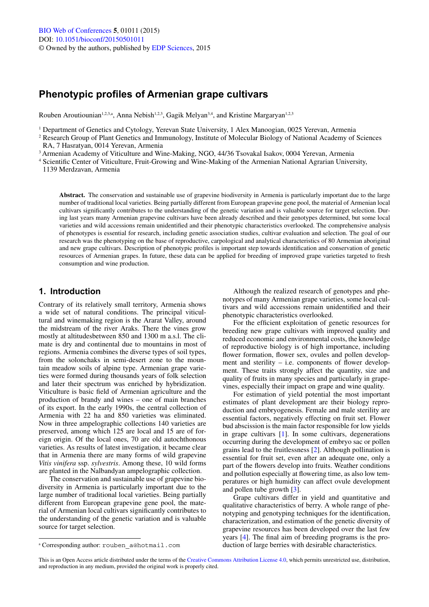# **Phenotypic profiles of Armenian grape cultivars**

Rouben Aroutiounian<sup>1,2,3,a</sup>, Anna Nebish<sup>1,2,3</sup>, Gagik Melyan<sup>3,4</sup>, and Kristine Margaryan<sup>1,2,3</sup>

<sup>1</sup> Department of Genetics and Cytology, Yerevan State University, 1 Alex Manoogian, 0025 Yerevan, Armenia

<sup>2</sup> Research Group of Plant Genetics and Immunology, Institute of Molecular Biology of National Academy of Sciences RA, 7 Hasratyan, 0014 Yerevan, Armenia

<sup>3</sup> Armenian Academy of Viticulture and Wine-Making, NGO, 44/36 Tsovakal Isakov, 0004 Yerevan, Armenia

<sup>4</sup> Scientific Center of Viticulture, Fruit-Growing and Wine-Making of the Armenian National Agrarian University,

1139 Merdzavan, Armenia

**Abstract.** The conservation and sustainable use of grapevine biodiversity in Armenia is particularly important due to the large number of traditional local varieties. Being partially different from European grapevine gene pool, the material of Armenian local cultivars significantly contributes to the understanding of the genetic variation and is valuable source for target selection. During last years many Armenian grapevine cultivars have been already described and their genotypes determined, but some local varieties and wild accessions remain unidentified and their phenotypic characteristics overlooked. The comprehensive analysis of phenotypes is essential for research, including genetic association studies, cultivar evaluation and selection. The goal of our research was the phenotyping on the base of reproductive, carpological and analytical characteristics of 80 Armenian aboriginal and new grape cultivars. Description of phenotypic profiles is important step towards identification and conservation of genetic resources of Armenian grapes. In future, these data can be applied for breeding of improved grape varieties targeted to fresh consumption and wine production.

## **1. Introduction**

Contrary of its relatively small territory, Armenia shows a wide set of natural conditions. The principal viticultural and winemaking region is the Ararat Valley, around the midstream of the river Araks. There the vines grow mostly at [altitudesb](http://www.wine-searcher.com/technical-wine-terms-a-b.lml#altitude)etween 850 and 1300 m a.s.l. The climate is dry and continental due to mountains in most of regions. Armenia combines the diverse types of soil types, from the solonchaks in semi-desert zone to the mountain meadow soils of alpine type. Armenian grape varieties were formed during thousands years of folk selection and later their spectrum was enriched by hybridization. Viticulture is basic field of Armenian agriculture and the production of brandy and wines – one of main branches of its export. In the early 1990s, the central collection of Armenia with 22 ha and 850 varieties was eliminated. Now in three ampelographic collections 140 varieties are preserved, among which 125 are local and 15 are of foreign origin. Of the local ones, 70 are old autochthonous varieties. As results of latest investigation, it became clear that in Armenia there are many forms of wild grapevine *Vitis vinifera* ssp. *sylvestris*. Among these, 10 wild forms are planted in the Nalbandyan ampelographic collection.

The conservation and sustainable use of grapevine biodiversity in Armenia is particularly important due to the large number of traditional local varieties. Being partially different from European grapevine gene pool, the material of Armenian local cultivars significantly contributes to the understanding of the genetic variation and is valuable source for target selection.

Although the realized research of genotypes and phenotypes of many Armenian grape varieties, some local cultivars and wild accessions remain unidentified and their phenotypic characteristics overlooked.

For the efficient exploitation of genetic resources for breeding new grape cultivars with improved quality and reduced economic and environmental costs, the knowledge of reproductive biology is of high importance, including flower formation, flower sex, ovules and pollen development and sterility – i.e. components of flower development. These traits strongly affect the quantity, size and quality of fruits in many species and particularly in grapevines, especially their impact on grape and wine quality.

For estimation of yield potential the most important estimates of plant development are their biology reproduction and embryogenesis. Female and male sterility are essential factors, negatively effecting on fruit set. Flower bud abscission is the main factor responsible for low yields in grape cultivars [\[1](#page-4-0)]. In some cultivars, degenerations occurring during the development of embryo sac or pollen grains lead to the fruitlessness [\[2](#page-4-1)]. Although pollination is essential for fruit set, even after an adequate one, only a part of the flowers develop into fruits. Weather conditions and pollution especially at flowering time, as also low temperatures or high humidity can affect ovule development and pollen tube growth [\[3](#page-4-2)].

Grape cultivars differ in yield and quantitative and qualitative characteristics of berry. A whole range of phenotyping and genotyping techniques for the identification, characterization, and estimation of the genetic diversity of grapevine resources has been developed over the last few years [[4\]](#page-4-3). The final aim of breeding programs is the production of large berries with desirable characteristics.

a Corresponding author: [rouben\\_a@hotmail.com](mailto:rouben_a@hotmail.com)

This is an Open Access article distributed under the terms of the [Creative Commons Attribution License 4.0](http://creativecommons.org/licenses/by/4.0/), which permits unrestricted use, distribution, and reproduction in any medium, provided the original work is properly cited.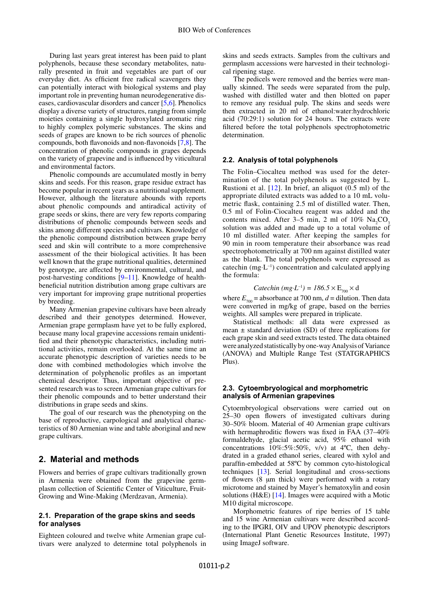During last years great interest has been paid to plant polyphenols, because these secondary metabolites, naturally presented in fruit and vegetables are part of our everyday diet. As efficient free radical scavengers they can potentially interact with biological systems and play important role in preventing human neurodegenerative diseases, cardiovascular disorders and cancer [[5](#page-4-4)[,6](#page-4-5)]. Phenolics display a diverse variety of structures, ranging from simple moieties containing a single hydroxylated aromatic ring to highly complex polymeric substances. The skins and seeds of grapes are known to be rich sources of phenolic compounds, both flavonoids and non-flavonoids [\[7](#page-4-6),[8\]](#page-4-7). The concentration of phenolic compounds in grapes depends on the variety of grapevine and is influenced by viticultural and environmental factors.

Phenolic compounds are accumulated mostly in berry skins and seeds. For this reason, grape residue extract has become popular in recent years as a nutritional supplement. However, although the literature abounds with reports about phenolic compounds and antiradical activity of grape seeds or skins, there are very few reports comparing distributions of phenolic compounds between seeds and skins among different species and cultivars. Knowledge of the phenolic compound distribution between grape berry seed and skin will contribute to a more comprehensive assessment of the their biological activities. It has been well known that the grape nutritional qualities, determined by genotype, are affected by environmental, cultural, and post-harvesting conditions [[9–](#page-4-8)[11\]](#page-4-9). Knowledge of healthbeneficial nutrition distribution among grape cultivars are very important for improving grape nutritional properties by breeding.

Many Armenian grapevine cultivars have been already described and their genotypes determined. However, Armenian grape germplasm have yet to be fully explored, because many local grapevine accessions remain unidentified and their phenotypic characteristics, including nutritional activities, remain overlooked. At the same time an accurate phenotypic description of varieties needs to be done with combined methodologies which involve the determination of polyphenolic profiles as an important chemical descriptor. Thus, important objective of presented research was to screen Armenian grape cultivars for their phenolic compounds and to better understand their distributions in grape seeds and skins.

The goal of our research was the phenotyping on the base of reproductive, carpological and analytical characteristics of 80 Armenian wine and table aboriginal and new grape cultivars.

### **2. Material and methods**

Flowers and berries of grape cultivars traditionally grown in Armenia were obtained from the grapevine germplasm collection of Scientific Center of Viticulture, Fruit-Growing and Wine-Making (Merdzavan, Armenia).

### **2.1. Preparation of the grape skins and seeds for analyses**

Eighteen coloured and twelve white Armenian grape cultivars were analyzed to determine total polyphenols in

skins and seeds extracts. Samples from the cultivars and germplasm accessions were harvested in their technological ripening stage.

The pedicels were removed and the berries were manually skinned. The seeds were separated from the pulp, washed with distilled water and then blotted on paper to remove any residual pulp. The skins and seeds were then extracted in 20 ml of ethanol:water:hydrochloric acid (70:29:1) solution for 24 hours. The extracts were filtered before the total polyphenols spectrophotometric determination.

#### **2.2. Analysis of total polyphenols**

The Folin–Ciocalteu method was used for the determination of the total polyphenols as suggested by L. Rustioni et al. [[12](#page-4-10)]. In brief, an aliquot (0.5 ml) of the appropriate diluted extracts was added to a 10 mL volumetric flask, containing 2.5 ml of distilled water. Then, 0.5 ml of Folin-Ciocalteu reagent was added and the contents mixed. After 3–5 min, 2 ml of  $10\%$   $\text{Na}_2\text{CO}_3$ solution was added and made up to a total volume of 10 ml distilled water. After keeping the samples for 90 min in room temperature their absorbance was read spectrophotometrically at 700 nm against distilled water as the blank. The total polyphenols were expressed as catechin (mg⋅L<sup>-1</sup>) concentration and calculated applying the formula:

#### *Catechin*  $(mg \cdot L^{-1}) = 186.5 \times E_{700} \times d$

where  $E_{700}$  = absorbance at 700 nm,  $d$  = dilution. Then data were converted in mg/kg of grape, based on the berries weights. All samples were prepared in triplicate.

Statistical methods: all data were expressed as mean  $\pm$  standard deviation (SD) of three replications for each grape skin and seed extracts tested. The data obtained were analyzed statistically by one-way Analysis of Variance (ANOVA) and Multiple Range Test (STATGRAPHICS Plus).

#### **2.3. Cytoembryological and morphometric analysis of Armenian grapevines**

Cytoembryological observations were carried out on 25–30 open flowers of investigated cultivars during 30–50% bloom. Material of 40 Armenian grape cultivars with hermaphroditic flowers was fixed in FAA (37–40% formaldehyde, glacial acetic acid, 95% ethanol with concentrations 10%:5%:50%, v/v) at 4ºC, then dehydrated in a graded ethanol series, cleared with xylol and paraffin-embedded at 58ºC by common cyto-histological techniques [[13\]](#page-4-11). Serial longitudinal and cross-sections of flowers (8 µm thick) were performed with a rotary microtome and stained by Mayer's hematoxylin and eosin solutions (H&E) [\[14](#page-4-12)]. Images were acquired with a Motic M10 digital microscope.

Morphometric features of ripe berries of 15 table and 15 wine Armenian cultivars were described according to the IPGRI, OIV and UPOV phenotypic descriptors (International Plant Genetic Resources Institute, 1997) using ImageJ software.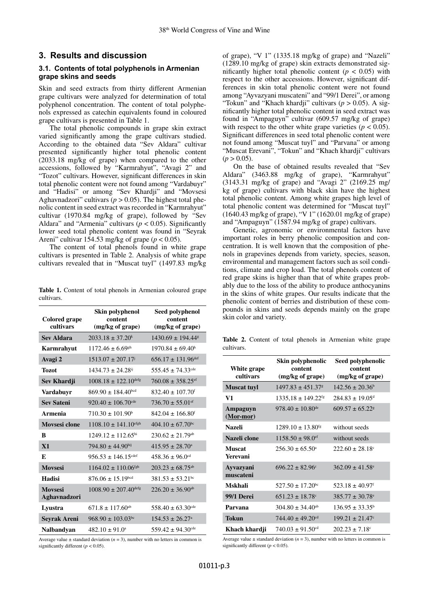## **3. Results and discussion**

### **3.1. Contents of total polyphenols in Armenian grape skins and seeds**

Skin and seed extracts from thirty different Armenian grape cultivars were analyzed for determination of total polyphenol concentration. The content of total polyphenols expressed as catechin equivalents found in coloured grape cultivars is presented in Table 1.

The total phenolic compounds in grape skin extract varied significantly among the grape cultivars studied. According to the obtained data "Sev Aldara" cultivar presented significantly higher total phenolic content (2033.18 mg/kg of grape) when compared to the other accessions, followed by "Karmrahyut", "Avagi 2" and "Tozot" cultivars. However, significant differences in skin total phenolic content were not found among "Vardabuyr" and "Hadisi" or among "Sev Khardji" and "Movsesi Aghavnadzori" cultivars ( $p > 0.05$ ). The highest total phenolic content in seed extract was recorded in "Karmrahyut" cultivar (1970.84 mg/kg of grape), followed by "Sev Aldara" and "Armenia" cultivars (*p* < 0.05). Significantly lower seed total phenolic content was found in "Seyrak Areni" cultivar 154.53 mg/kg of grape (*p* < 0.05).

The content of total phenols found in white grape cultivars is presented in Table 2. Analysis of white grape cultivars revealed that in "Muscat tuyl" (1497.83 mg/kg

|            |  |  | Table 1. Content of total phenols in Armenian coloured grape |  |
|------------|--|--|--------------------------------------------------------------|--|
| cultivars. |  |  |                                                              |  |

| Colored grape<br>cultivars     | Skin polyphenol<br>content<br>(mg/kg of grape) | Seed polyphenol<br>content<br>(mg/kg of grape) |
|--------------------------------|------------------------------------------------|------------------------------------------------|
| <b>Sev Aldara</b>              | $2033.18 \pm 37.20^k$                          | $1430.69 \pm 194.44$ <sup>g</sup>              |
| Karmrahvut                     | $1172.46 \pm 6.69$ <sup>gh</sup>               | $1970.84 + 69.40h$                             |
| Avagi 2                        | $1513.07 \pm 207.17$                           | $656.17 \pm 131.96$ def                        |
| <b>Tozot</b>                   | $1434.73 \pm 24.28$ <sup>ij</sup>              | $555.45 \pm 74.33$ <sup>cde</sup>              |
| Sev Khardji                    | $1008.18 \pm 122.10$ defg                      | $760.08 \pm 358.25$ <sup>ef</sup>              |
| <b>Vardabuvr</b>               | $869.90 \pm 184.40^{\text{bed}}$               | $832.40 \pm 107.70$ <sup>f</sup>               |
| <b>Sev Sateni</b>              | $920.40 \pm 106.70$ <sup>cde</sup>             | $736.70 \pm 55.01$ <sup>ef</sup>               |
| Armenia                        | $710.30 \pm 101.90^{\circ}$                    | $842.04 + 166.80$ <sup>f</sup>                 |
| <b>Movsesi</b> clone           | $1108.10 \pm 141.10$ <sup>efgh</sup>           | $404.10 \pm 67.70$ <sup>bc</sup>               |
| R                              | $1249.12 \pm 112.65^{\text{hi}}$               | $230.62 \pm 21.79$ <sup>ab</sup>               |
| X1                             | $794.80 \pm 44.90$ <sup>hij</sup>              | $415.95 \pm 28.70^{\circ}$                     |
| E                              | $956.53 \pm 146.15$ <sup>cdef</sup>            | $458.36 \pm 96.0$ <sup>cd</sup>                |
| <b>Movsesi</b>                 | $1164.02 \pm 110.06$ <sup>fgh</sup>            | $203.23 \pm 68.75$ <sup>ab</sup>               |
| Hadisi                         | $876.06 \pm 15.19$ <sup>bcd</sup>              | $381.53 + 53.21$ <sup>bc</sup>                 |
| <b>Movsesi</b><br>Aghavnadzori | $1008.90 \pm 207.40$ <sup>defg</sup>           | $226.20 \pm 36.90$ <sup>ab</sup>               |
| Lyustra                        | $671.8 \pm 117.60^{ab}$                        | $558.40 \pm 63.30$ <sup>cde</sup>              |
| <b>Sevrak Areni</b>            | $968.90 \pm 103.03$ bc                         | $154.53 \pm 26.27$ <sup>a</sup>                |
| <b>Nalbandyan</b>              | $482.10 \pm 91.0^a$                            | $559.42 \pm 94.30$ <sup>cde</sup>              |

Average value  $\pm$  standard deviation ( $n = 3$ ), number with no letters in common is significantly different  $(p < 0.05)$ .

of grape), "V 1" (1335.18 mg/kg of grape) and "Nazeli" (1289.10 mg/kg of grape) skin extracts demonstrated significantly higher total phenolic content ( $p < 0.05$ ) with respect to the other accessions. However, significant differences in skin total phenolic content were not found among "Ayvazyani muscateni" and "99/1 Derei", or among "Tokun" and "Khach khardji" cultivars ( $p > 0.05$ ). A significantly higher total phenolic content in seed extract was found in "Ampaguyn" cultivar (609.57 mg/kg of grape) with respect to the other white grape varieties ( $p < 0.05$ ). Significant differences in seed total phenolic content were not found among "Muscat tuyl" and "Parvana" or among "Muscat Erevani", "Tokun" and "Khach khardji" cultivars  $(p > 0.05)$ .

On the base of obtained results revealed that "Sev Aldara" (3463.88 mg/kg of grape), "Karmrahyut" (3143.31 mg/kg of grape) and "Avagi 2" (2169.25 mg/ kg of grape) cultivars with black skin have the highest total phenolic content. Among white grapes high level of total phenolic content was determined for "Muscat tuyl" (1640.43 mg/kg of grape), "V 1" (1620.01 mg/kg of grape) and "Ampaguyn" (1587.94 mg/kg of grape) cultivars.

Genetic, agronomic or environmental factors have important roles in berry phenolic composition and concentration. It is well known that the composition of phenols in grapevines depends from variety, species, season, environmental and management factors such as soil conditions, climate and crop load. The total phenols content of red grape skins is higher than that of white grapes probably due to the loss of the ability to produce anthocyanins in the skins of white grapes. Our results indicate that the phenolic content of berries and distribution of these compounds in skins and seeds depends mainly on the grape skin color and variety.

**Table 2.** Content of total phenols in Armenian white grape cultivars.

| White grape<br>cultivars  | Skin polyphenolic<br>content<br>(mg/kg of grape) | Seed polyphenolic<br>content<br>(mg/kg of grape) |
|---------------------------|--------------------------------------------------|--------------------------------------------------|
| <b>Muscat tuyl</b>        | $1497.83 \pm 451.37$ <sup>g</sup>                | $142.56 \pm 20.36^b$                             |
| V1                        | $1335.18 \pm 149.22$ <sup>fg</sup>               | $284.83 \pm 19.05$ <sup>d</sup>                  |
| Ampaguyn<br>(Mor-mor)     | $978.40 \pm 10.80$ <sup>de</sup>                 | $609.57 \pm 65.22$ <sup>g</sup>                  |
| <b>Nazeli</b>             | $1289.10 \pm 13.80$ <sup>fg</sup>                | without seeds                                    |
| Nazeli clone              | $1158.50 \pm 98.0$ <sup>ef</sup>                 | without seeds                                    |
| <b>Muscat</b><br>Yerevani | $256.30 \pm 65.50^{\circ}$                       | $222.60 \pm 28.18$ °                             |
| Ayvazyani<br>muscateni    | $696.22 \pm 82.96$ <sup>c</sup>                  | $362.09 \pm 41.58$ <sup>e</sup>                  |
| Mskhali                   | $527.50 \pm 17.20$ <sup>bc</sup>                 | $523.18 \pm 40.97$ <sup>f</sup>                  |
| 99/1 Derei                | $651.23 \pm 18.78$ <sup>c</sup>                  | $385.77 \pm 30.78$ <sup>e</sup>                  |
| Parvana                   | $304.80 \pm 34.40$ <sup>ab</sup>                 | $136.95 \pm 33.35^{\circ}$                       |
| Tokun                     | $744.40 \pm 49.20$ <sup>cd</sup>                 | $199.21 \pm 21.47$ °                             |
| Khach khardji             | $740.03 \pm 91.50$ <sup>cd</sup>                 | $202.23 \pm 7.18$ <sup>c</sup>                   |

Average value  $\pm$  standard deviation ( $n = 3$ ), number with no letters in common is significantly different  $(p < 0.05)$ .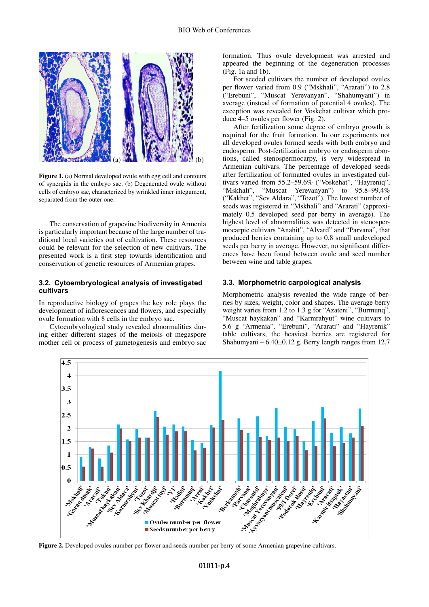

**Figure 1.** (a) Normal developed ovule with egg cell and contours of synergids in the embryo sac. (b) Degenerated ovule without cells of embryo sac, characterized by wrinkled inner integument, separated from the outer one.

The conservation of grapevine biodiversity in Armenia is particularly important because of the large number of traditional local varieties out of cultivation. These resources could be relevant for the selection of new cultivars. The presented work is a first step towards identification and conservation of genetic resources of Armenian grapes.

### **3.2. Cytoembryological analysis of investigated cultivars**

In reproductive biology of grapes the key role plays the development of inflorescences and flowers, and especially ovule formation with 8 cells in the embryo sac.

Cytoembryological study revealed abnormalities during either different stages of the meiosis of megaspore mother cell or process of gametogenesis and embryo sac formation. Thus ovule development was arrested and appeared the beginning of the degeneration processes (Fig. 1a and 1b).

For seeded cultivars the number of developed ovules per flower varied from 0.9 ("Mskhali", "Ararati") to 2.8 ("Erebuni", "Muscat Yerevanyan", "Shahumyani") in average (instead of formation of potential 4 ovules). The exception was revealed for Voskehat cultivar which produce 4–5 ovules per flower (Fig. 2).

After fertilization some degree of embryo growth is required for the fruit formation. In our experiments not all developed ovules formed seeds with both embryo and endosperm. Post-fertilization embryo or endosperm abortions, called stenospermocarpy, is very widespread in Armenian cultivars. The percentage of developed seeds after fertilization of formatted ovules in investigated cultivars varied from 55.2–59.6% ("Voskehat", "Hayreniq", "Mskhali", "Muscat Yerevanyan") to 95.8-99.4% ("Kakhet", "Sev Aldara", "Tozot"). The lowest number of seeds was registered in "Mskhali" and "Ararati" (approximately 0.5 developed seed per berry in average). The highest level of abnormalities was detected in stenospermocarpic cultivars "Anahit", "Alvard" and "Parvana", that produced berries containing up to 0.8 small undeveloped seeds per berry in average. However, no significant differences have been found between ovule and seed number between wine and table grapes.

### **3.3. Morphometric carpological analysis**

Morphometric analysis revealed the wide range of berries by sizes, weight, color and shapes. The average berry weight varies from 1.2 to 1.3 g for "Azateni", "Burmunq", "Muscat haykakan" and "Karmrahyut" wine cultivars to 5.6 g "Armenia", "Erebuni", "Ararati" and "Hayrenik" table cultivars, the heaviest berries are registered for Shahumyani –  $6.40\pm0.12$  g. Berry length ranges from 12.7



**Figure 2.** Developed ovules number per flower and seeds number per berry of some Armenian grapevine cultivars.